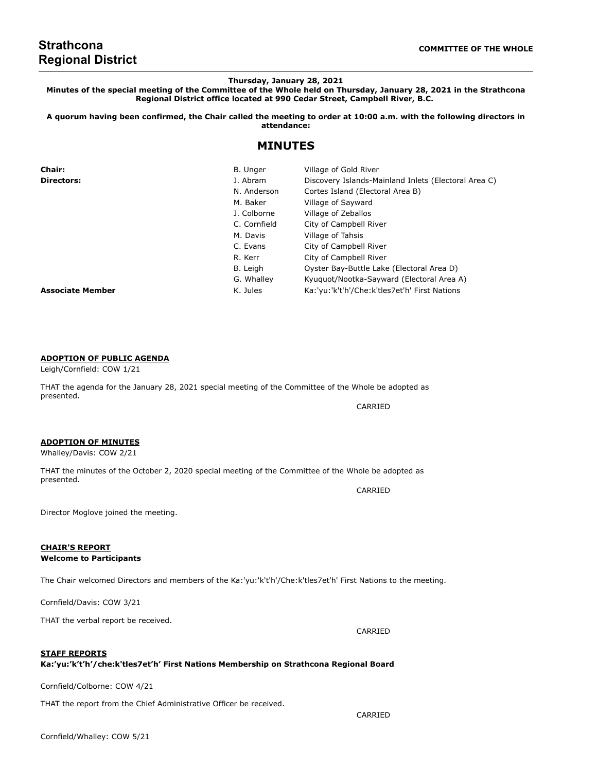# **Strathcona Regional District**

**Thursday, January 28, 2021**

**Minutes of the special meeting of the Committee of the Whole held on Thursday, January 28, 2021 in the Strathcona Regional District office located at 990 Cedar Street, Campbell River, B.C.**

**A quorum having been confirmed, the Chair called the meeting to order at 10:00 a.m. with the following directors in attendance:**

## **MINUTES**

| <b>Chair:</b>           | B. Unger     | Village of Gold River                                |
|-------------------------|--------------|------------------------------------------------------|
| <b>Directors:</b>       | J. Abram     | Discovery Islands-Mainland Inlets (Electoral Area C) |
|                         | N. Anderson  | Cortes Island (Electoral Area B)                     |
|                         | M. Baker     | Village of Sayward                                   |
|                         | J. Colborne  | Village of Zeballos                                  |
|                         | C. Cornfield | City of Campbell River                               |
|                         | M. Davis     | Village of Tahsis                                    |
|                         | C. Evans     | City of Campbell River                               |
|                         | R. Kerr      | City of Campbell River                               |
|                         | B. Leigh     | Oyster Bay-Buttle Lake (Electoral Area D)            |
|                         | G. Whalley   | Kyuguot/Nootka-Sayward (Electoral Area A)            |
| <b>Associate Member</b> | K. Jules     | Ka:'yu:'k't'h'/Che:k'tles7et'h' First Nations        |

## **ADOPTION OF PUBLIC AGENDA**

#### Leigh/Cornfield: COW 1/21

THAT the agenda for the January 28, 2021 special meeting of the Committee of the Whole be adopted as presented. CARRIED

#### **ADOPTION OF MINUTES**

Whalley/Davis: COW 2/21

THAT the minutes of the October 2, 2020 special meeting of the Committee of the Whole be adopted as presented.

Director Moglove joined the meeting.

## **CHAIR'S REPORT**

#### **Welcome to Participants**

The Chair welcomed Directors and members of the Ka:'yu:'k't'h'/Che:k'tles7et'h' First Nations to the meeting.

Cornfield/Davis: COW 3/21

THAT the verbal report be received.

**STAFF REPORTS**

### **Ka:'yu:'k't'h'/che:k'tles7et'h' First Nations Membership on Strathcona Regional Board**

Cornfield/Colborne: COW 4/21

THAT the report from the Chief Administrative Officer be received.

CARRIED

CARRIED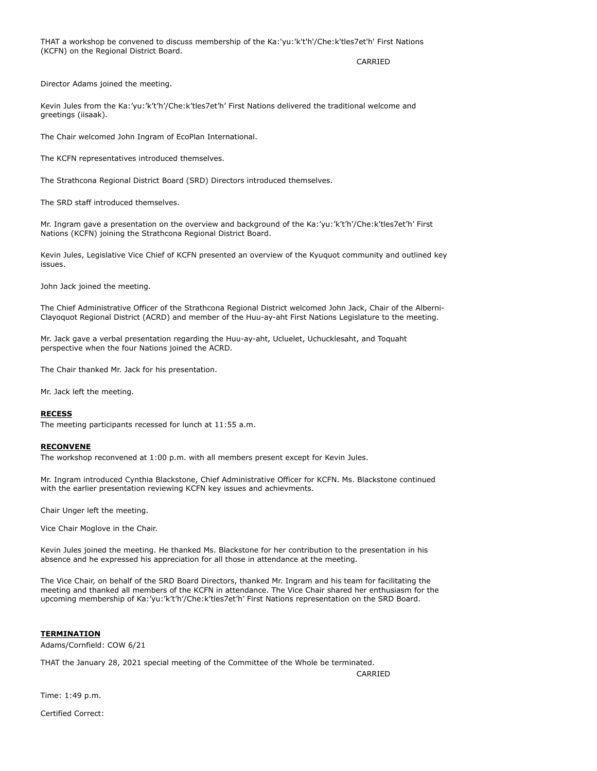THAT a workshop be convened to discuss membership of the Ka:'yu:'k't'h'/Che:k'tles7et'h' First Nations (KCFN) on the Regional District Board.

CARRIED

Director Adams joined the meeting.

Kevin Jules from the Ka:'yu:'k't'h'/Che:k'tles7et'h' First Nations delivered the traditional welcome and greetings (iisaak).

The Chair welcomed John Ingram of EcoPlan International.

The KCFN representatives introduced themselves.

The Strathcona Regional District Board (SRD) Directors introduced themselves.

The SRD staff introduced themselves.

Mr. Ingram gave a presentation on the overview and background of the Ka:'yu:'k't'h'/Che:k'tles7et'h' First Nations (KCFN) joining the Strathcona Regional District Board.

Kevin Jules, Legislative Vice Chief of KCFN presented an overview of the Kyuquot community and outlined key issues.

John Jack joined the meeting.

The Chief Administrative Officer of the Strathcona Regional District welcomed John Jack, Chair of the Alberni-Clayoquot Regional District (ACRD) and member of the Huu-ay-aht First Nations Legislature to the meeting.

Mr. Jack gave a verbal presentation regarding the Huu-ay-aht, Ucluelet, Uchucklesaht, and Toquaht perspective when the four Nations joined the ACRD.

The Chair thanked Mr. Jack for his presentation.

Mr. Jack left the meeting.

#### **RECESS**

The meeting participants recessed for lunch at 11:55 a.m.

#### **RECONVENE**

The workshop reconvened at 1:00 p.m. with all members present except for Kevin Jules.

Mr. Ingram introduced Cynthia Blackstone, Chief Administrative Officer for KCFN. Ms. Blackstone continued with the earlier presentation reviewing KCFN key issues and achievments.

Chair Unger left the meeting.

Vice Chair Moglove in the Chair.

Kevin Jules joined the meeting. He thanked Ms. Blackstone for her contribution to the presentation in his absence and he expressed his appreciation for all those in attendance at the meeting.

The Vice Chair, on behalf of the SRD Board Directors, thanked Mr. Ingram and his team for facilitating the meeting and thanked all members of the KCFN in attendance. The Vice Chair shared her enthusiasm for the upcoming membership of Ka:'yu:'k't'h'/Che:k'tles7et'h' First Nations representation on the SRD Board.

#### **TERMINATION**

Adams/Cornfield: COW 6/21

THAT the January 28, 2021 special meeting of the Committee of the Whole be terminated.

CARRIED

Time: 1:49 p.m.

Certified Correct: